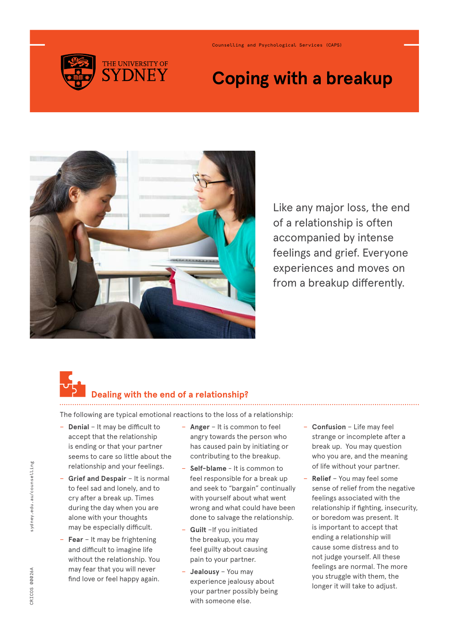

Counselling and Psychological Services (CAPS)

# **Coping with a breakup**



Like any major loss, the end of a relationship is often accompanied by intense feelings and grief. Everyone experiences and moves on from a breakup differently.

# **Dealing with the end of a relationship?**

The following are typical emotional reactions to the loss of a relationship:

- − **Denial** It may be difficult to accept that the relationship is ending or that your partner seems to care so little about the relationship and your feelings.
- − **Grief and Despair** It is normal to feel sad and lonely, and to cry after a break up. Times during the day when you are alone with your thoughts may be especially difficult.
- − **Fear** It may be frightening and difficult to imagine life without the relationship. You may fear that you will never find love or feel happy again.
- − **Anger** It is common to feel angry towards the person who has caused pain by initiating or contributing to the breakup.
- − **Self-blame** It is common to feel responsible for a break up and seek to "bargain" continually with yourself about what went wrong and what could have been done to salvage the relationship.
- − **Guilt** –If you initiated the breakup, you may feel guilty about causing pain to your partner.
- − **Jealousy** You may experience jealousy about your partner possibly being with someone else.
- − **Confusion** Life may feel strange or incomplete after a break up. You may question who you are, and the meaning of life without your partner.
- − **Relief** You may feel some sense of relief from the negative feelings associated with the relationship if fighting, insecurity, or boredom was present. It is important to accept that ending a relationship will cause some distress and to not judge yourself. All these feelings are normal. The more you struggle with them, the longer it will take to adjust.